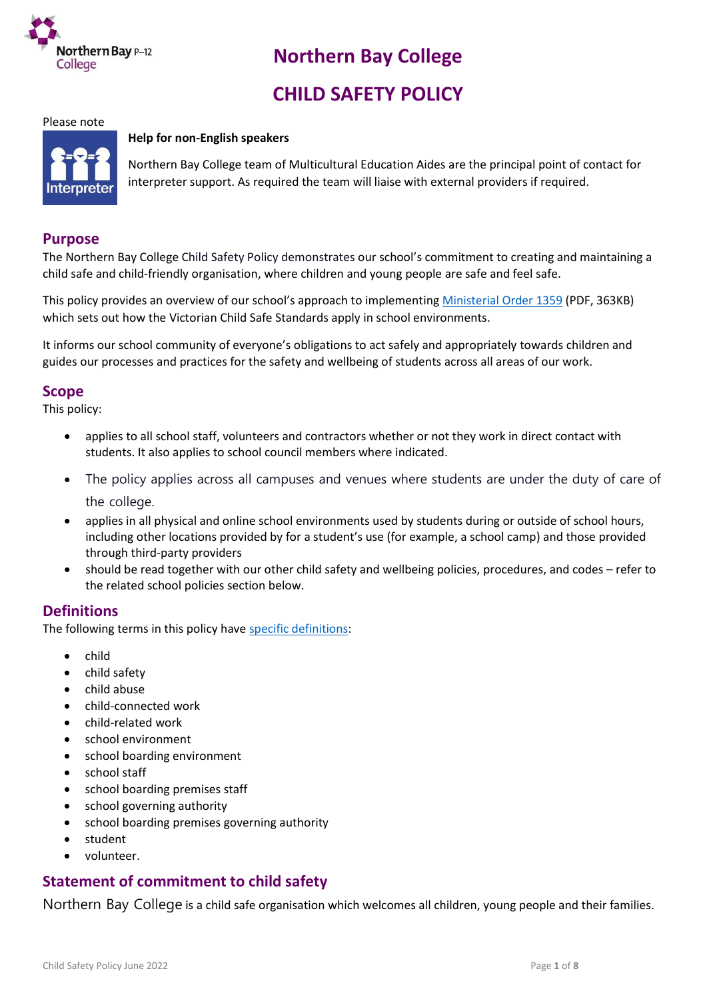

# **Northern Bay College**

# **CHILD SAFETY POLICY**

#### Please note

#### **Help for non-English speakers**



Northern Bay College team of Multicultural Education Aides are the principal point of contact for interpreter support. As required the team will liaise with external providers if required.

#### **Purpose**

The Northern Bay College Child Safety Policy demonstrates our school's commitment to creating and maintaining a child safe and child-friendly organisation, where children and young people are safe and feel safe.

This policy provides an overview of our school's approach to implementing [Ministerial Order 1359](https://www.education.vic.gov.au/Documents/about/programs/health/protect/Ministerial_Order.pdf) (PDF, 363KB) which sets out how the Victorian Child Safe Standards apply in school environments.

It informs our school community of everyone's obligations to act safely and appropriately towards children and guides our processes and practices for the safety and wellbeing of students across all areas of our work.

### **Scope**

This policy:

- applies to all school staff, volunteers and contractors whether or not they work in direct contact with students. It also applies to school council members where indicated.
- The policy applies across all campuses and venues where students are under the duty of care of the college.
- applies in all physical and online school environments used by students during or outside of school hours, including other locations provided by for a student's use (for example, a school camp) and those provided through third-party providers
- should be read together with our other child safety and wellbeing policies, procedures, and codes refer to the related school policies section below.

## **Definitions**

The following terms in this policy have [specific definitions:](https://www.vic.gov.au/child-safe-standards-definitions)

- child
- child safety
- child abuse
- child-connected work
- child-related work
- school environment
- school boarding environment
- school staff
- school boarding premises staff
- school governing authority
- school boarding premises governing authority
- student
- volunteer.

# **Statement of commitment to child safety**

Northern Bay College is a child safe organisation which welcomes all children, young people and their families.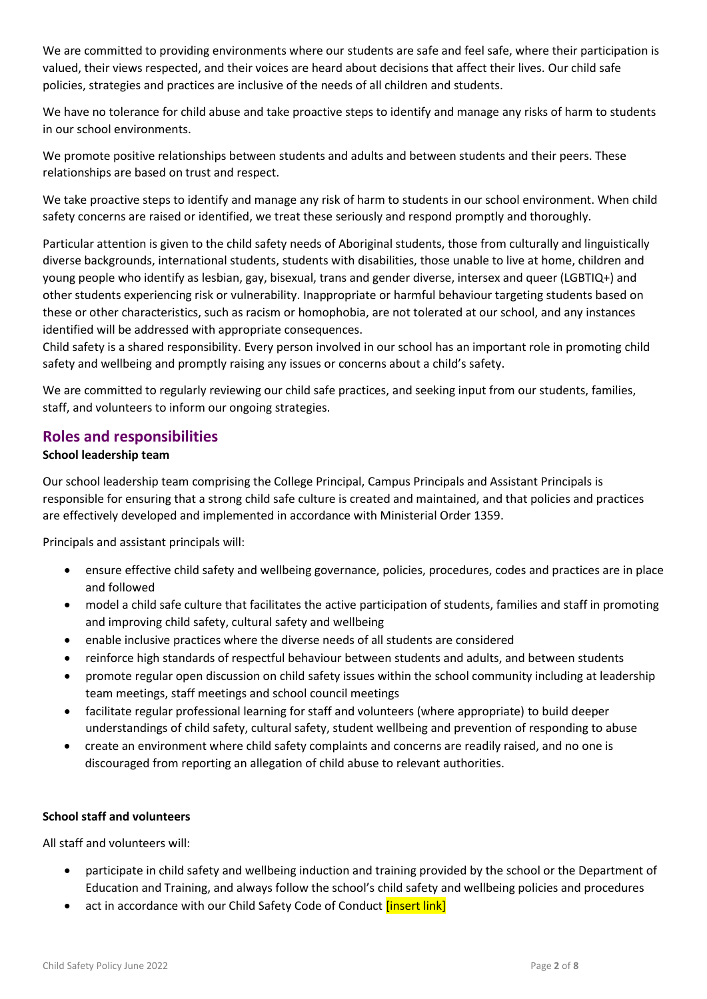We are committed to providing environments where our students are safe and feel safe, where their participation is valued, their views respected, and their voices are heard about decisions that affect their lives. Our child safe policies, strategies and practices are inclusive of the needs of all children and students.

We have no tolerance for child abuse and take proactive steps to identify and manage any risks of harm to students in our school environments.

We promote positive relationships between students and adults and between students and their peers. These relationships are based on trust and respect.

We take proactive steps to identify and manage any risk of harm to students in our school environment. When child safety concerns are raised or identified, we treat these seriously and respond promptly and thoroughly.

Particular attention is given to the child safety needs of Aboriginal students, those from culturally and linguistically diverse backgrounds, international students, students with disabilities, those unable to live at home, children and young people who identify as lesbian, gay, bisexual, trans and gender diverse, intersex and queer (LGBTIQ+) and other students experiencing risk or vulnerability. Inappropriate or harmful behaviour targeting students based on these or other characteristics, such as racism or homophobia, are not tolerated at our school, and any instances identified will be addressed with appropriate consequences.

Child safety is a shared responsibility. Every person involved in our school has an important role in promoting child safety and wellbeing and promptly raising any issues or concerns about a child's safety.

We are committed to regularly reviewing our child safe practices, and seeking input from our students, families, staff, and volunteers to inform our ongoing strategies.

### **Roles and responsibilities**

#### **School leadership team**

Our school leadership team comprising the College Principal, Campus Principals and Assistant Principals is responsible for ensuring that a strong child safe culture is created and maintained, and that policies and practices are effectively developed and implemented in accordance with Ministerial Order 1359.

Principals and assistant principals will:

- ensure effective child safety and wellbeing governance, policies, procedures, codes and practices are in place and followed
- model a child safe culture that facilitates the active participation of students, families and staff in promoting and improving child safety, cultural safety and wellbeing
- enable inclusive practices where the diverse needs of all students are considered
- reinforce high standards of respectful behaviour between students and adults, and between students
- promote regular open discussion on child safety issues within the school community including at leadership team meetings, staff meetings and school council meetings
- facilitate regular professional learning for staff and volunteers (where appropriate) to build deeper understandings of child safety, cultural safety, student wellbeing and prevention of responding to abuse
- create an environment where child safety complaints and concerns are readily raised, and no one is discouraged from reporting an allegation of child abuse to relevant authorities.

#### **School staff and volunteers**

All staff and volunteers will:

- participate in child safety and wellbeing induction and training provided by the school or the Department of Education and Training, and always follow the school's child safety and wellbeing policies and procedures
- act in accordance with our Child Safety Code of Conduct *[insert link]*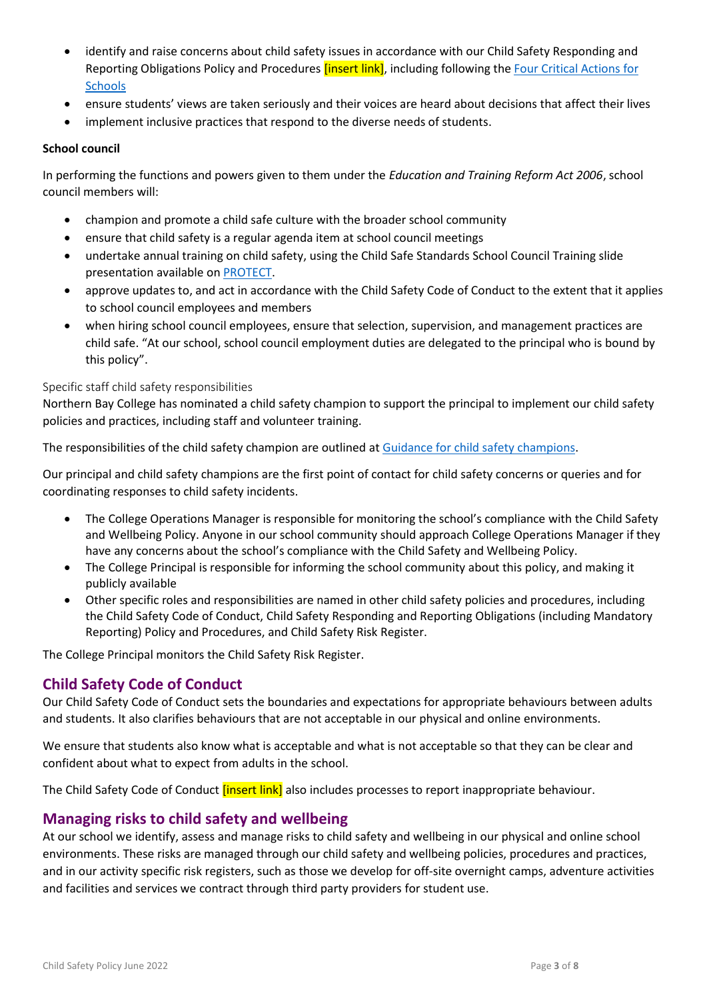- identify and raise concerns about child safety issues in accordance with our Child Safety Responding and Reporting Obligations Policy and Procedures *[insert link]*, including following the Four Critical Actions for **[Schools](https://www.education.vic.gov.au/school/teachers/health/childprotection/Pages/report.aspx)**
- ensure students' views are taken seriously and their voices are heard about decisions that affect their lives
- implement inclusive practices that respond to the diverse needs of students.

#### **School council**

In performing the functions and powers given to them under the *Education and Training Reform Act 2006*, school council members will:

- champion and promote a child safe culture with the broader school community
- ensure that child safety is a regular agenda item at school council meetings
- undertake annual training on child safety, using the Child Safe Standards School Council Training slide presentation available on [PROTECT.](http://www.vic.gov.au/protect)
- approve updates to, and act in accordance with the Child Safety Code of Conduct to the extent that it applies to school council employees and members
- when hiring school council employees, ensure that selection, supervision, and management practices are child safe. "At our school, school council employment duties are delegated to the principal who is bound by this policy".

#### Specific staff child safety responsibilities

Northern Bay College has nominated a child safety champion to support the principal to implement our child safety policies and practices, including staff and volunteer training.

The responsibilities of the child safety champion are outlined at [Guidance for child safety champions.](https://www.vic.gov.au/guidance-child-safety-champions)

Our principal and child safety champions are the first point of contact for child safety concerns or queries and for coordinating responses to child safety incidents.

- The College Operations Manager is responsible for monitoring the school's compliance with the Child Safety and Wellbeing Policy. Anyone in our school community should approach College Operations Manager if they have any concerns about the school's compliance with the Child Safety and Wellbeing Policy.
- The College Principal is responsible for informing the school community about this policy, and making it publicly available
- Other specific roles and responsibilities are named in other child safety policies and procedures, including the Child Safety Code of Conduct, Child Safety Responding and Reporting Obligations (including Mandatory Reporting) Policy and Procedures, and Child Safety Risk Register.

The College Principal monitors the Child Safety Risk Register.

## **Child Safety Code of Conduct**

Our Child Safety Code of Conduct sets the boundaries and expectations for appropriate behaviours between adults and students. It also clarifies behaviours that are not acceptable in our physical and online environments.

We ensure that students also know what is acceptable and what is not acceptable so that they can be clear and confident about what to expect from adults in the school.

The Child Safety Code of Conduct *[insert link]* also includes processes to report inappropriate behaviour.

## **Managing risks to child safety and wellbeing**

At our school we identify, assess and manage risks to child safety and wellbeing in our physical and online school environments. These risks are managed through our child safety and wellbeing policies, procedures and practices, and in our activity specific risk registers, such as those we develop for off-site overnight camps, adventure activities and facilities and services we contract through third party providers for student use.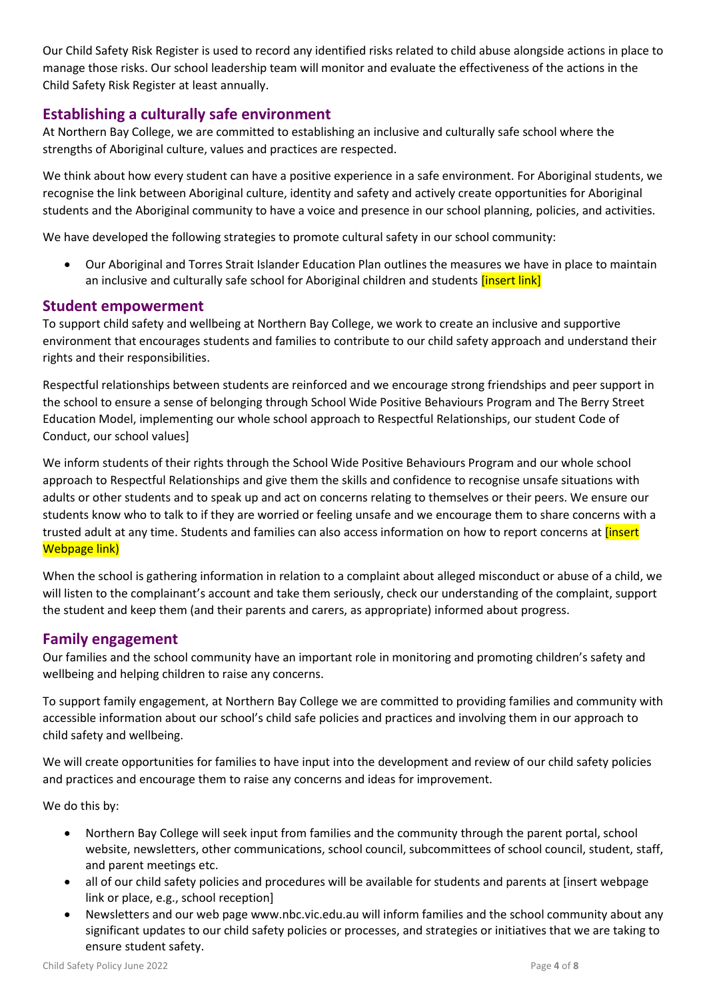Our Child Safety Risk Register is used to record any identified risks related to child abuse alongside actions in place to manage those risks. Our school leadership team will monitor and evaluate the effectiveness of the actions in the Child Safety Risk Register at least annually.

## **Establishing a culturally safe environment**

At Northern Bay College, we are committed to establishing an inclusive and culturally safe school where the strengths of Aboriginal culture, values and practices are respected.

We think about how every student can have a positive experience in a safe environment. For Aboriginal students, we recognise the link between Aboriginal culture, identity and safety and actively create opportunities for Aboriginal students and the Aboriginal community to have a voice and presence in our school planning, policies, and activities.

We have developed the following strategies to promote cultural safety in our school community:

 Our Aboriginal and Torres Strait Islander Education Plan outlines the measures we have in place to maintain an inclusive and culturally safe school for Aboriginal children and students *[insert link]* 

#### **Student empowerment**

To support child safety and wellbeing at Northern Bay College, we work to create an inclusive and supportive environment that encourages students and families to contribute to our child safety approach and understand their rights and their responsibilities.

Respectful relationships between students are reinforced and we encourage strong friendships and peer support in the school to ensure a sense of belonging through School Wide Positive Behaviours Program and The Berry Street Education Model, implementing our whole school approach to Respectful Relationships, our student Code of Conduct, our school values]

We inform students of their rights through the School Wide Positive Behaviours Program and our whole school approach to Respectful Relationships and give them the skills and confidence to recognise unsafe situations with adults or other students and to speak up and act on concerns relating to themselves or their peers. We ensure our students know who to talk to if they are worried or feeling unsafe and we encourage them to share concerns with a trusted adult at any time. Students and families can also access information on how to report concerns at *[insert* Webpage link)

When the school is gathering information in relation to a complaint about alleged misconduct or abuse of a child, we will listen to the complainant's account and take them seriously, check our understanding of the complaint, support the student and keep them (and their parents and carers, as appropriate) informed about progress.

## **Family engagement**

Our families and the school community have an important role in monitoring and promoting children's safety and wellbeing and helping children to raise any concerns.

To support family engagement, at Northern Bay College we are committed to providing families and community with accessible information about our school's child safe policies and practices and involving them in our approach to child safety and wellbeing.

We will create opportunities for families to have input into the development and review of our child safety policies and practices and encourage them to raise any concerns and ideas for improvement.

We do this by:

- Northern Bay College will seek input from families and the community through the parent portal, school website, newsletters, other communications, school council, subcommittees of school council, student, staff, and parent meetings etc.
- all of our child safety policies and procedures will be available for students and parents at [insert webpage link or place, e.g., school reception]
- Newsletters and our web page www.nbc.vic.edu.au will inform families and the school community about any significant updates to our child safety policies or processes, and strategies or initiatives that we are taking to ensure student safety.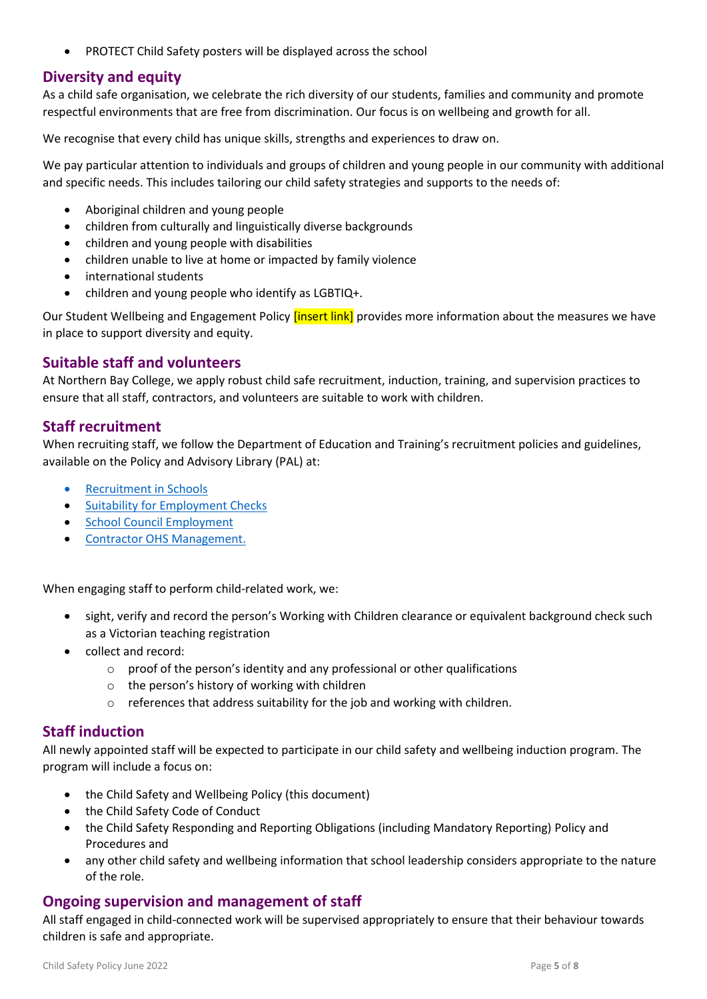PROTECT Child Safety posters will be displayed across the school

## **Diversity and equity**

As a child safe organisation, we celebrate the rich diversity of our students, families and community and promote respectful environments that are free from discrimination. Our focus is on wellbeing and growth for all.

We recognise that every child has unique skills, strengths and experiences to draw on.

We pay particular attention to individuals and groups of children and young people in our community with additional and specific needs. This includes tailoring our child safety strategies and supports to the needs of:

- Aboriginal children and young people
- children from culturally and linguistically diverse backgrounds
- children and young people with disabilities
- children unable to live at home or impacted by family violence
- international students
- children and young people who identify as LGBTIQ+.

Our Student Wellbeing and Engagement Policy *[insert link]* provides more information about the measures we have in place to support diversity and equity.

## **Suitable staff and volunteers**

At Northern Bay College, we apply robust child safe recruitment, induction, training, and supervision practices to ensure that all staff, contractors, and volunteers are suitable to work with children.

## **Staff recruitment**

When recruiting staff, we follow the Department of Education and Training's recruitment policies and guidelines, available on the Policy and Advisory Library (PAL) at:

- [Recruitment in Schools](https://www2.education.vic.gov.au/pal/recruitment-schools/overview)
- [Suitability for Employment Checks](https://www2.education.vic.gov.au/pal/suitability-employment-checks/overview)
- **•** [School Council Employment](https://www2.education.vic.gov.au/pal/school-council-employment/overview)
- [Contractor OHS Management.](https://www2.education.vic.gov.au/pal/contractor-ohs-management/policy)

When engaging staff to perform child-related work, we:

- sight, verify and record the person's Working with Children clearance or equivalent background check such as a Victorian teaching registration
- collect and record:
	- o proof of the person's identity and any professional or other qualifications
	- o the person's history of working with children
	- o references that address suitability for the job and working with children.

#### **Staff induction**

All newly appointed staff will be expected to participate in our child safety and wellbeing induction program. The program will include a focus on:

- the Child Safety and Wellbeing Policy (this document)
- the Child Safety Code of Conduct
- the Child Safety Responding and Reporting Obligations (including Mandatory Reporting) Policy and Procedures and
- any other child safety and wellbeing information that school leadership considers appropriate to the nature of the role.

#### **Ongoing supervision and management of staff**

All staff engaged in child-connected work will be supervised appropriately to ensure that their behaviour towards children is safe and appropriate.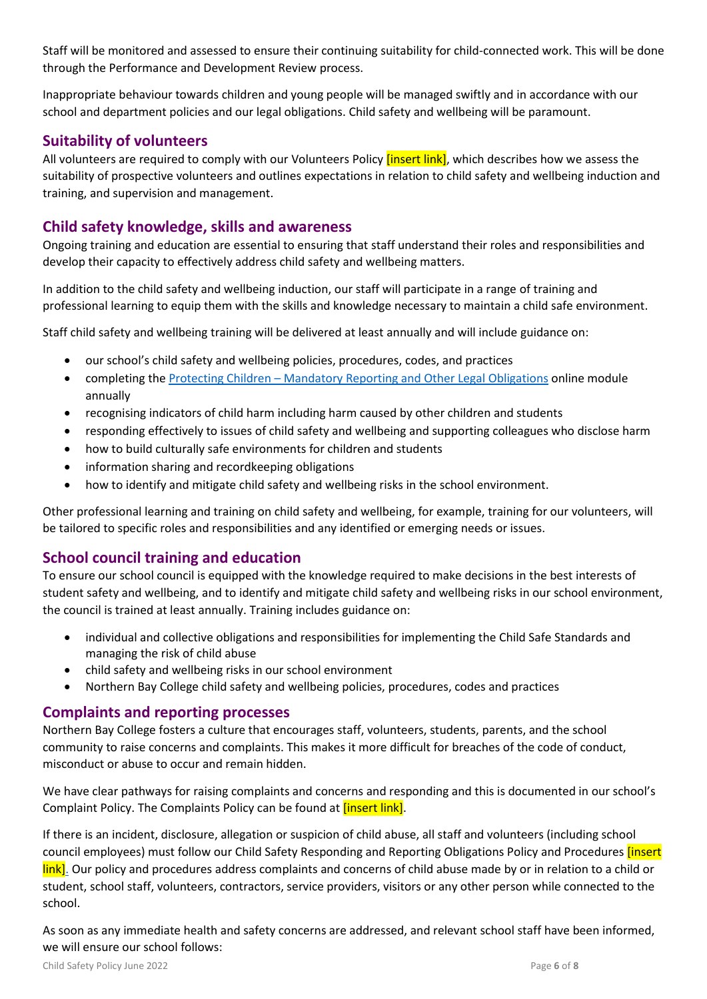Staff will be monitored and assessed to ensure their continuing suitability for child-connected work. This will be done through the Performance and Development Review process.

Inappropriate behaviour towards children and young people will be managed swiftly and in accordance with our school and department policies and our legal obligations. Child safety and wellbeing will be paramount.

## **Suitability of volunteers**

All volunteers are required to comply with our Volunteers Policy *[insert link]*, which describes how we assess the suitability of prospective volunteers and outlines expectations in relation to child safety and wellbeing induction and training, and supervision and management.

# **Child safety knowledge, skills and awareness**

Ongoing training and education are essential to ensuring that staff understand their roles and responsibilities and develop their capacity to effectively address child safety and wellbeing matters.

In addition to the child safety and wellbeing induction, our staff will participate in a range of training and professional learning to equip them with the skills and knowledge necessary to maintain a child safe environment.

Staff child safety and wellbeing training will be delivered at least annually and will include guidance on:

- our school's child safety and wellbeing policies, procedures, codes, and practices
- completing the Protecting Children [Mandatory Reporting and Other](http://elearn.com.au/det/protectingchildren/) Legal Obligations online module annually
- recognising indicators of child harm including harm caused by other children and students
- responding effectively to issues of child safety and wellbeing and supporting colleagues who disclose harm
- how to build culturally safe environments for children and students
- information sharing and recordkeeping obligations
- how to identify and mitigate child safety and wellbeing risks in the school environment.

Other professional learning and training on child safety and wellbeing, for example, training for our volunteers, will be tailored to specific roles and responsibilities and any identified or emerging needs or issues.

## **School council training and education**

To ensure our school council is equipped with the knowledge required to make decisions in the best interests of student safety and wellbeing, and to identify and mitigate child safety and wellbeing risks in our school environment, the council is trained at least annually. Training includes guidance on:

- individual and collective obligations and responsibilities for implementing the Child Safe Standards and managing the risk of child abuse
- child safety and wellbeing risks in our school environment
- Northern Bay College child safety and wellbeing policies, procedures, codes and practices

#### **Complaints and reporting processes**

Northern Bay College fosters a culture that encourages staff, volunteers, students, parents, and the school community to raise concerns and complaints. This makes it more difficult for breaches of the code of conduct, misconduct or abuse to occur and remain hidden.

We have clear pathways for raising complaints and concerns and responding and this is documented in our school's Complaint Policy. The Complaints Policy can be found at *[insert link]*.

If there is an incident, disclosure, allegation or suspicion of child abuse, all staff and volunteers (including school council employees) must follow our Child Safety Responding and Reporting Obligations Policy and Procedures [insert link]. Our policy and procedures address complaints and concerns of child abuse made by or in relation to a child or student, school staff, volunteers, contractors, service providers, visitors or any other person while connected to the school.

As soon as any immediate health and safety concerns are addressed, and relevant school staff have been informed, we will ensure our school follows: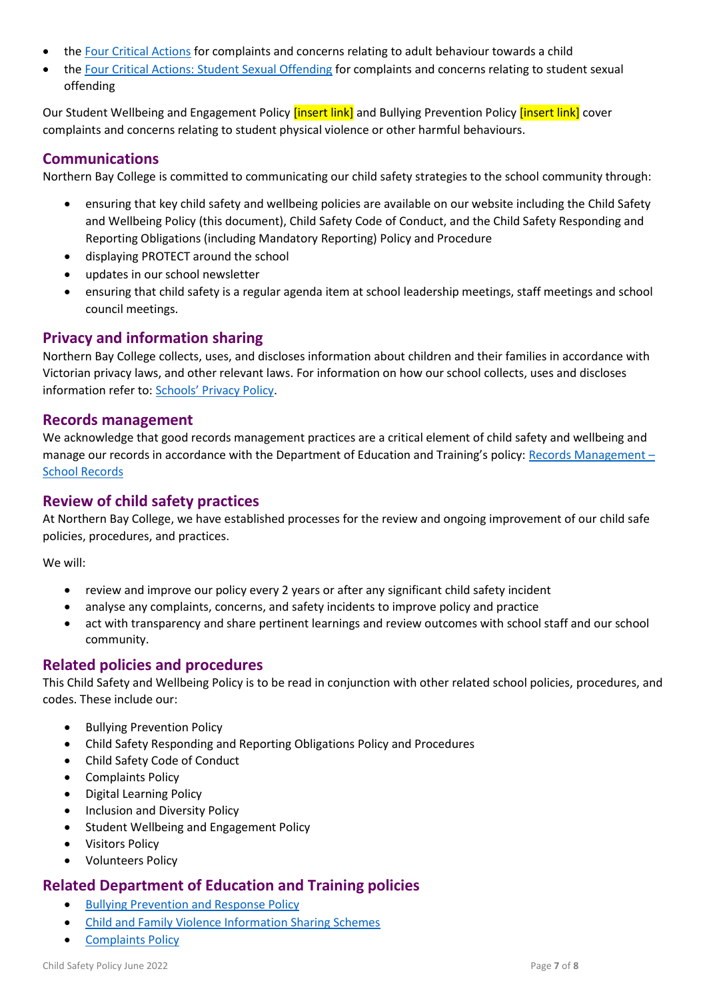- the [Four Critical Actions](https://www.education.vic.gov.au/Documents/about/programs/health/protect/FourCriticalActions_ChildAbuse.pdf) for complaints and concerns relating to adult behaviour towards a child
- the [Four Critical Actions: Student Sexual Offending](https://www.education.vic.gov.au/school/teachers/health/childprotection/Pages/stusexual.aspx) for complaints and concerns relating to student sexual offending

Our Student Wellbeing and Engagement Policy *[insert link]* and Bullying Prevention Policy *[insert link]* cover complaints and concerns relating to student physical violence or other harmful behaviours.

# **Communications**

Northern Bay College is committed to communicating our child safety strategies to the school community through:

- ensuring that key child safety and wellbeing policies are available on our website including the Child Safety and Wellbeing Policy (this document), Child Safety Code of Conduct, and the Child Safety Responding and Reporting Obligations (including Mandatory Reporting) Policy and Procedure
- displaying PROTECT around the school
- updates in our school newsletter
- ensuring that child safety is a regular agenda item at school leadership meetings, staff meetings and school council meetings.

# **Privacy and information sharing**

Northern Bay College collects, uses, and discloses information about children and their families in accordance with Victorian privacy laws, and other relevant laws. For information on how our school collects, uses and discloses information refer to: [Schools' Privacy Policy](https://www.education.vic.gov.au/Pages/schoolsprivacypolicy.aspx).

### **Records management**

We acknowledge that good records management practices are a critical element of child safety and wellbeing and manage our records in accordance with the Department of Education and Training's policy: [Records Management](https://www2.education.vic.gov.au/pal/records-management/policy) – [School Records](https://www2.education.vic.gov.au/pal/records-management/policy)

## **Review of child safety practices**

At Northern Bay College, we have established processes for the review and ongoing improvement of our child safe policies, procedures, and practices.

We will:

- review and improve our policy every 2 years or after any significant child safety incident
- analyse any complaints, concerns, and safety incidents to improve policy and practice
- act with transparency and share pertinent learnings and review outcomes with school staff and our school community.

## **Related policies and procedures**

This Child Safety and Wellbeing Policy is to be read in conjunction with other related school policies, procedures, and codes. These include our:

- Bullying Prevention Policy
- Child Safety Responding and Reporting Obligations Policy and Procedures
- Child Safety Code of Conduct
- Complaints Policy
- Digital Learning Policy
- Inclusion and Diversity Policy
- Student Wellbeing and Engagement Policy
- Visitors Policy
- Volunteers Policy

## **Related Department of Education and Training policies**

- **•** [Bullying Prevention and Response Policy](https://www2.education.vic.gov.au/pal/bullying-prevention-response/policy)
- [Child and Family Violence Information Sharing Schemes](https://www2.education.vic.gov.au/pal/information-sharing-schemes/policy)
- [Complaints Policy](https://www2.education.vic.gov.au/pal/complaints/policy)